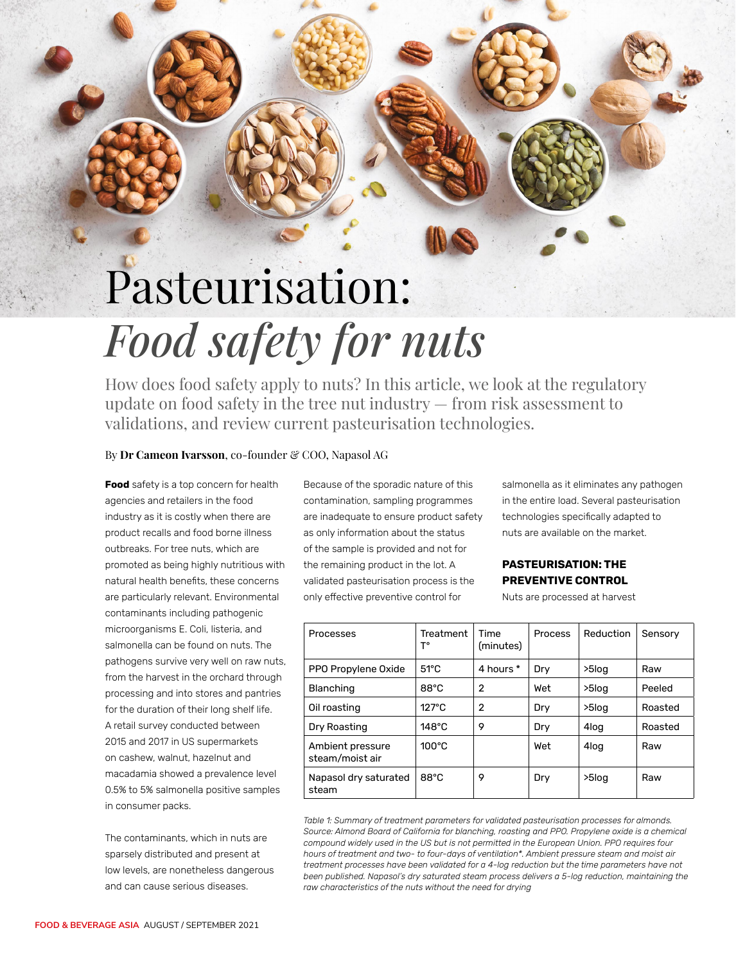## Pasteurisation: *Food safety for nuts*

How does food safety apply to nuts? In this article, we look at the regulatory update on food safety in the tree nut industry — from risk assessment to validations, and review current pasteurisation technologies.

## By Dr Cameon Ivarsson, co-founder & COO, Napasol AG

**Food** safety is a top concern for health agencies and retailers in the food industry as it is costly when there are product recalls and food borne illness outbreaks. For tree nuts, which are promoted as being highly nutritious with natural health benefits, these concerns are particularly relevant. Environmental contaminants including pathogenic microorganisms E. Coli, listeria, and salmonella can be found on nuts. The pathogens survive very well on raw nuts, from the harvest in the orchard through processing and into stores and pantries for the duration of their long shelf life. A retail survey conducted between 2015 and 2017 in US supermarkets on cashew, walnut, hazelnut and macadamia showed a prevalence level 0.5% to 5% salmonella positive samples in consumer packs.

40 PROCESSING AND PACKAGING

The contaminants, which in nuts are sparsely distributed and present at low levels, are nonetheless dangerous and can cause serious diseases.

Because of the sporadic nature of this contamination, sampling programmes are inadequate to ensure product safety as only information about the status of the sample is provided and not for the remaining product in the lot. A validated pasteurisation process is the only effective preventive control for

salmonella as it eliminates any pathogen in the entire load. Several pasteurisation technologies specifically adapted to nuts are available on the market.

## **PASTEURISATION: THE PREVENTIVE CONTROL**

Nuts are processed at harvest

| Processes                           | Treatment<br>т۰ | Time<br>(minutes) | <b>Process</b> | Reduction | Sensory |
|-------------------------------------|-----------------|-------------------|----------------|-----------|---------|
| PPO Propylene Oxide                 | $51^{\circ}$ C  | 4 hours *         | Dry            | >5log     | Raw     |
| Blanching                           | $88^{\circ}$ C  | $\overline{2}$    | Wet            | >5log     | Peeled  |
| Oil roasting                        | $127^\circ C$   | 2                 | Dry            | $>5$ log  | Roasted |
| Dry Roasting                        | $148^{\circ}$ C | 9                 | Dry            | 4log      | Roasted |
| Ambient pressure<br>steam/moist air | $100^{\circ}$ C |                   | Wet            | 4log      | Raw     |
| Napasol dry saturated<br>steam      | $88^{\circ}$ C  | 9                 | Dry            | $>5$ log  | Raw     |

*Table 1: Summary of treatment parameters for validated pasteurisation processes for almonds. Source: Almond Board of California for blanching, roasting and PPO. Propylene oxide is a chemical compound widely used in the US but is not permitted in the European Union. PPO requires four hours of treatment and two- to four-days of ventilation\*. Ambient pressure steam and moist air treatment processes have been validated for a 4-log reduction but the time parameters have not been published. Napasol's dry saturated steam process delivers a 5-log reduction, maintaining the raw characteristics of the nuts without the need for drying*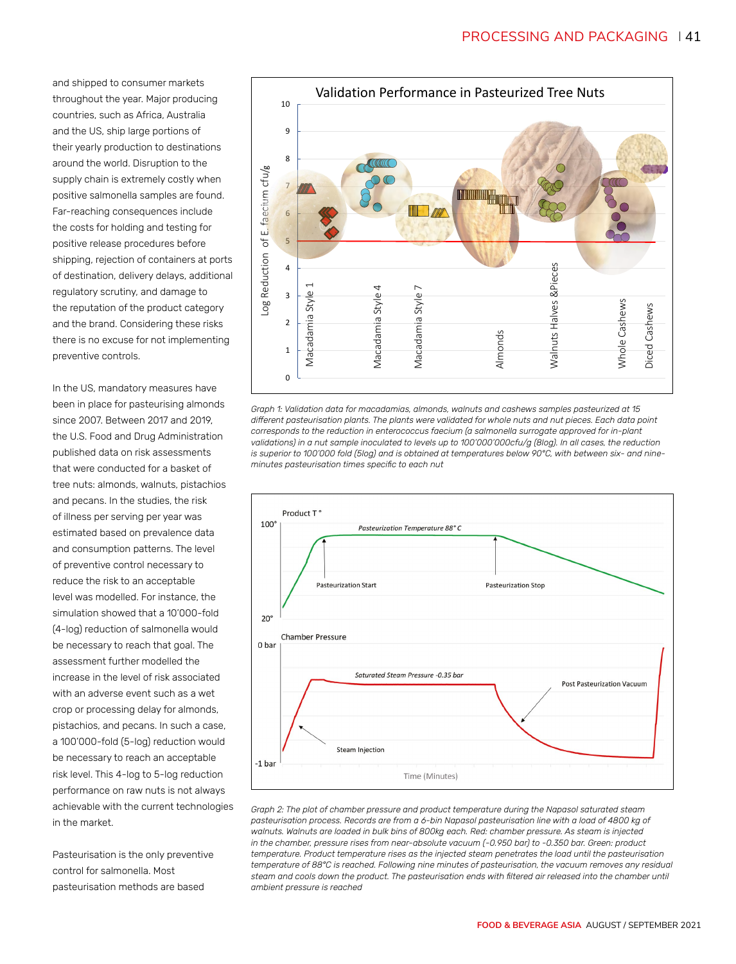and shipped to consumer markets throughout the year. Major producing countries, such as Africa, Australia and the US, ship large portions of their yearly production to destinations around the world. Disruption to the supply chain is extremely costly when positive salmonella samples are found. Far-reaching consequences include the costs for holding and testing for positive release procedures before shipping, rejection of containers at ports of destination, delivery delays, additional regulatory scrutiny, and damage to the reputation of the product category and the brand. Considering these risks there is no excuse for not implementing preventive controls.

In the US, mandatory measures have been in place for pasteurising almonds since 2007. Between 2017 and 2019, the U.S. Food and Drug Administration published data on risk assessments that were conducted for a basket of tree nuts: almonds, walnuts, pistachios and pecans. In the studies, the risk of illness per serving per year was estimated based on prevalence data and consumption patterns. The level of preventive control necessary to reduce the risk to an acceptable level was modelled. For instance, the simulation showed that a 10'000-fold (4-log) reduction of salmonella would be necessary to reach that goal. The assessment further modelled the increase in the level of risk associated with an adverse event such as a wet crop or processing delay for almonds, pistachios, and pecans. In such a case, a 100'000-fold (5-log) reduction would be necessary to reach an acceptable risk level. This 4-log to 5-log reduction performance on raw nuts is not always achievable with the current technologies in the market.

Pasteurisation is the only preventive control for salmonella. Most pasteurisation methods are based



*Graph 1: Validation data for macadamias, almonds, walnuts and cashews samples pasteurized at 15 different pasteurisation plants. The plants were validated for whole nuts and nut pieces. Each data point corresponds to the reduction in enterococcus faecium (a salmonella surrogate approved for in-plant validations) in a nut sample inoculated to levels up to 100'000'000cfu/g (8log). In all cases, the reduction is superior to 100'000 fold (5log) and is obtained at temperatures below 90°C, with between six- and nineminutes pasteurisation times specific to each nut*



*Graph 2: The plot of chamber pressure and product temperature during the Napasol saturated steam pasteurisation process. Records are from a 6-bin Napasol pasteurisation line with a load of 4800 kg of walnuts. Walnuts are loaded in bulk bins of 800kg each. Red: chamber pressure. As steam is injected in the chamber, pressure rises from near-absolute vacuum (-0.950 bar) to -0.350 bar. Green: product temperature. Product temperature rises as the injected steam penetrates the load until the pasteurisation temperature of 88°C is reached. Following nine minutes of pasteurisation, the vacuum removes any residual steam and cools down the product. The pasteurisation ends with filtered air released into the chamber until ambient pressure is reached*